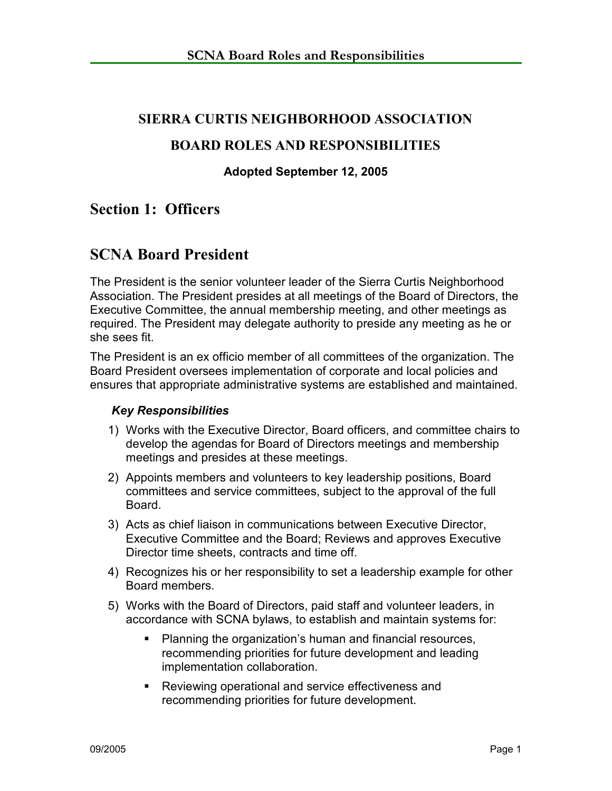# **SIERRA CURTIS NEIGHBORHOOD ASSOCIATION**

# **BOARD ROLES AND RESPONSIBILITIES**

#### **Adopted September 12, 2005**

# **Section 1: Officers**

# **SCNA Board President**

The President is the senior volunteer leader of the Sierra Curtis Neighborhood Association. The President presides at all meetings of the Board of Directors, the Executive Committee, the annual membership meeting, and other meetings as required. The President may delegate authority to preside any meeting as he or she sees fit.

The President is an ex officio member of all committees of the organization. The Board President oversees implementation of corporate and local policies and ensures that appropriate administrative systems are established and maintained.

#### *Key Responsibilities*

- 1) Works with the Executive Director, Board officers, and committee chairs to develop the agendas for Board of Directors meetings and membership meetings and presides at these meetings.
- 2) Appoints members and volunteers to key leadership positions, Board committees and service committees, subject to the approval of the full Board.
- 3) Acts as chief liaison in communications between Executive Director, Executive Committee and the Board; Reviews and approves Executive Director time sheets, contracts and time off.
- 4) Recognizes his or her responsibility to set a leadership example for other Board members.
- 5) Works with the Board of Directors, paid staff and volunteer leaders, in accordance with SCNA bylaws, to establish and maintain systems for:
	- **Planning the organization's human and financial resources,** recommending priorities for future development and leading implementation collaboration.
	- Reviewing operational and service effectiveness and recommending priorities for future development.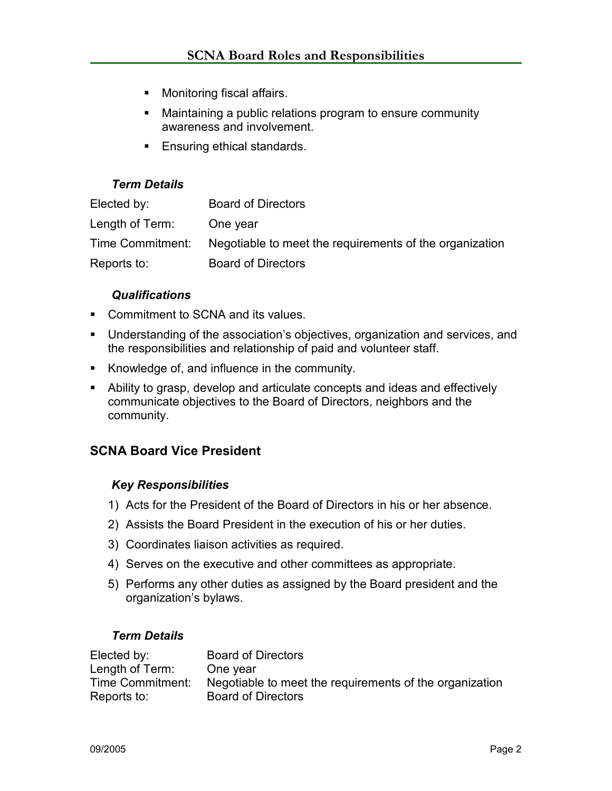- **Monitoring fiscal affairs.**
- Maintaining a public relations program to ensure community awareness and involvement.
- **Ensuring ethical standards.**

### *Term Details*

| Elected by:      | <b>Board of Directors</b>                               |
|------------------|---------------------------------------------------------|
| Length of Term:  | One year                                                |
| Time Commitment: | Negotiable to meet the requirements of the organization |
| Reports to:      | <b>Board of Directors</b>                               |

### *Qualifications*

- Commitment to SCNA and its values.
- Understanding of the association's objectives, organization and services, and the responsibilities and relationship of paid and volunteer staff.
- Knowledge of, and influence in the community.
- Ability to grasp, develop and articulate concepts and ideas and effectively communicate objectives to the Board of Directors, neighbors and the community.

# **SCNA Board Vice President**

#### *Key Responsibilities*

- 1) Acts for the President of the Board of Directors in his or her absence.
- 2) Assists the Board President in the execution of his or her duties.
- 3) Coordinates liaison activities as required.
- 4) Serves on the executive and other committees as appropriate.
- 5) Performs any other duties as assigned by the Board president and the organization's bylaws.

#### *Term Details*

| Elected by:      | <b>Board of Directors</b>                               |
|------------------|---------------------------------------------------------|
| Length of Term:  | One year                                                |
| Time Commitment: | Negotiable to meet the requirements of the organization |
| Reports to:      | <b>Board of Directors</b>                               |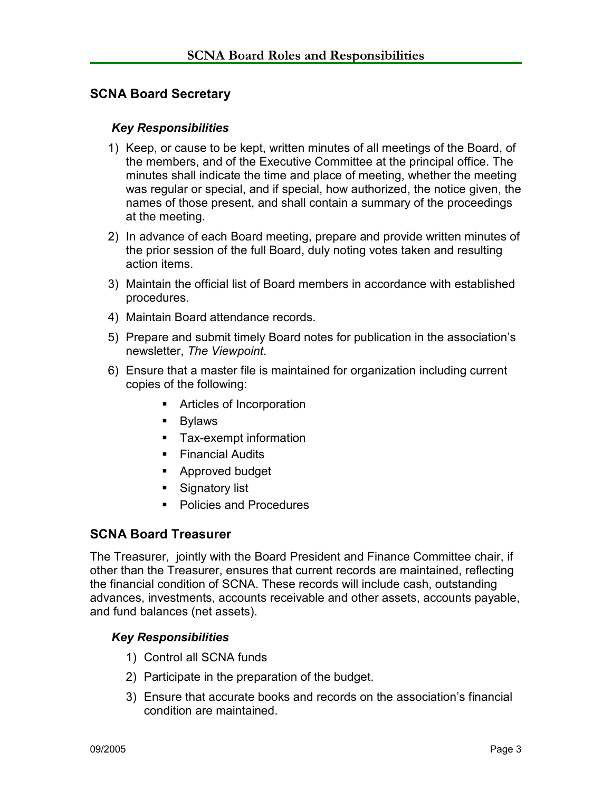# **SCNA Board Secretary**

#### *Key Responsibilities*

- 1) Keep, or cause to be kept, written minutes of all meetings of the Board, of the members, and of the Executive Committee at the principal office. The minutes shall indicate the time and place of meeting, whether the meeting was regular or special, and if special, how authorized, the notice given, the names of those present, and shall contain a summary of the proceedings at the meeting.
- 2) In advance of each Board meeting, prepare and provide written minutes of the prior session of the full Board, duly noting votes taken and resulting action items.
- 3) Maintain the official list of Board members in accordance with established procedures.
- 4) Maintain Board attendance records.
- 5) Prepare and submit timely Board notes for publication in the association's newsletter, *The Viewpoint*.
- 6) Ensure that a master file is maintained for organization including current copies of the following:
	- Articles of Incorporation
	- **Bylaws**
	- **Tax-exempt information**
	- **Financial Audits**
	- **Approved budget**
	- Signatory list
	- Policies and Procedures

# **SCNA Board Treasurer**

The Treasurer, jointly with the Board President and Finance Committee chair, if other than the Treasurer, ensures that current records are maintained, reflecting the financial condition of SCNA. These records will include cash, outstanding advances, investments, accounts receivable and other assets, accounts payable, and fund balances (net assets).

#### *Key Responsibilities*

- 1) Control all SCNA funds
- 2) Participate in the preparation of the budget.
- 3) Ensure that accurate books and records on the association's financial condition are maintained.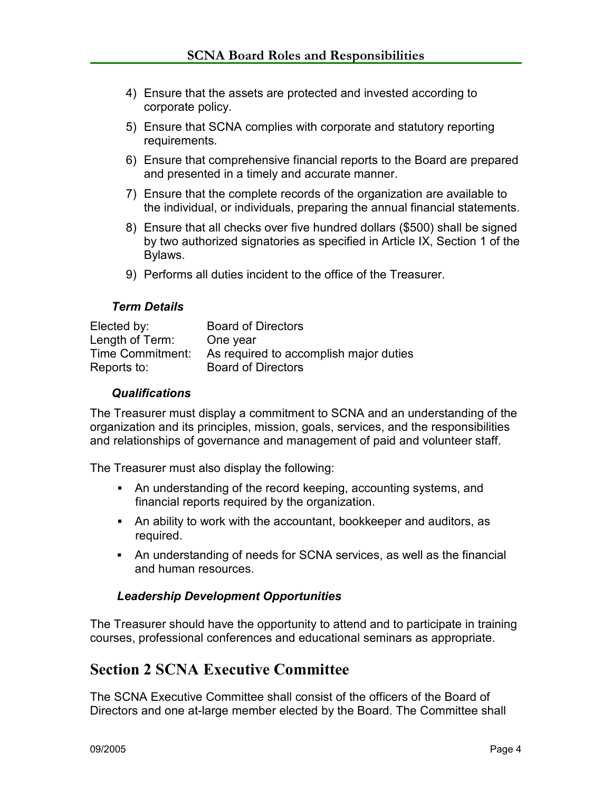- 4) Ensure that the assets are protected and invested according to corporate policy.
- 5) Ensure that SCNA complies with corporate and statutory reporting requirements.
- 6) Ensure that comprehensive financial reports to the Board are prepared and presented in a timely and accurate manner.
- 7) Ensure that the complete records of the organization are available to the individual, or individuals, preparing the annual financial statements.
- 8) Ensure that all checks over five hundred dollars (\$500) shall be signed by two authorized signatories as specified in Article IX, Section 1 of the Bylaws.
- 9) Performs all duties incident to the office of the Treasurer.

#### *Term Details*

| Elected by:      | <b>Board of Directors</b>              |
|------------------|----------------------------------------|
| Length of Term:  | One year                               |
| Time Commitment: | As required to accomplish major duties |
| Reports to:      | <b>Board of Directors</b>              |

#### *Qualifications*

The Treasurer must display a commitment to SCNA and an understanding of the organization and its principles, mission, goals, services, and the responsibilities and relationships of governance and management of paid and volunteer staff.

The Treasurer must also display the following:

- An understanding of the record keeping, accounting systems, and financial reports required by the organization.
- An ability to work with the accountant, bookkeeper and auditors, as required.
- An understanding of needs for SCNA services, as well as the financial and human resources.

#### *Leadership Development Opportunities*

The Treasurer should have the opportunity to attend and to participate in training courses, professional conferences and educational seminars as appropriate.

# **Section 2 SCNA Executive Committee**

The SCNA Executive Committee shall consist of the officers of the Board of Directors and one at-large member elected by the Board. The Committee shall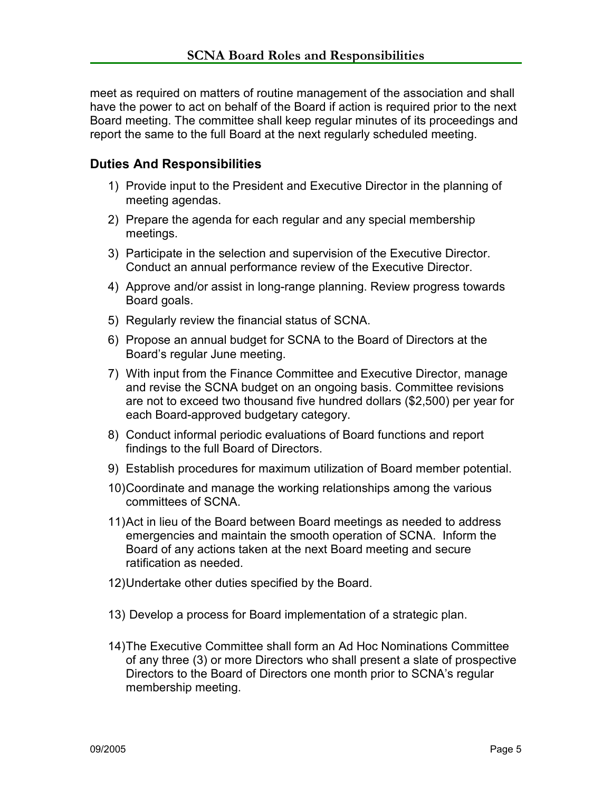meet as required on matters of routine management of the association and shall have the power to act on behalf of the Board if action is required prior to the next Board meeting. The committee shall keep regular minutes of its proceedings and report the same to the full Board at the next regularly scheduled meeting.

# **Duties And Responsibilities**

- 1) Provide input to the President and Executive Director in the planning of meeting agendas.
- 2) Prepare the agenda for each regular and any special membership meetings.
- 3) Participate in the selection and supervision of the Executive Director. Conduct an annual performance review of the Executive Director.
- 4) Approve and/or assist in long-range planning. Review progress towards Board goals.
- 5) Regularly review the financial status of SCNA.
- 6) Propose an annual budget for SCNA to the Board of Directors at the Board's regular June meeting.
- 7) With input from the Finance Committee and Executive Director, manage and revise the SCNA budget on an ongoing basis. Committee revisions are not to exceed two thousand five hundred dollars (\$2,500) per year for each Board-approved budgetary category.
- 8) Conduct informal periodic evaluations of Board functions and report findings to the full Board of Directors.
- 9) Establish procedures for maximum utilization of Board member potential.
- 10) Coordinate and manage the working relationships among the various committees of SCNA.
- 11) Act in lieu of the Board between Board meetings as needed to address emergencies and maintain the smooth operation of SCNA. Inform the Board of any actions taken at the next Board meeting and secure ratification as needed.
- 12) Undertake other duties specified by the Board.
- 13) Develop a process for Board implementation of a strategic plan.
- 14) The Executive Committee shall form an Ad Hoc Nominations Committee of any three (3) or more Directors who shall present a slate of prospective Directors to the Board of Directors one month prior to SCNA's regular membership meeting.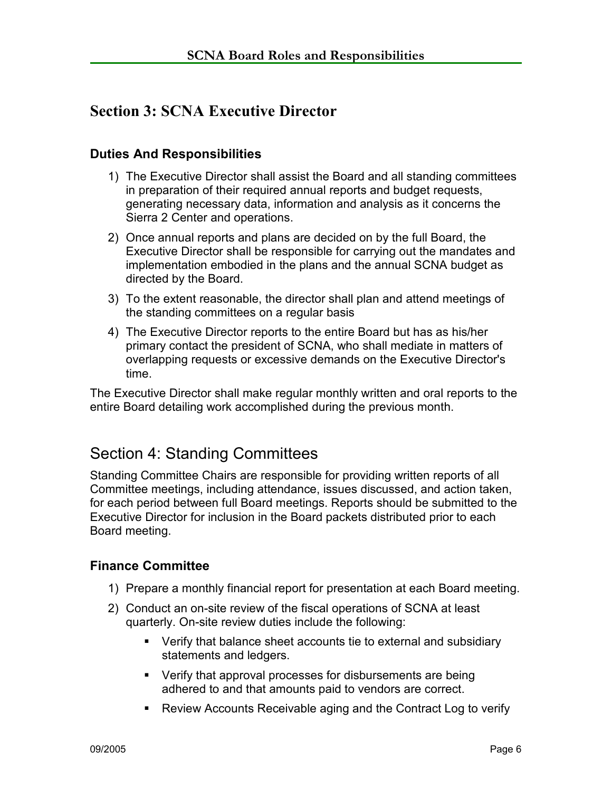# **Section 3: SCNA Executive Director**

# **Duties And Responsibilities**

- 1) The Executive Director shall assist the Board and all standing committees in preparation of their required annual reports and budget requests, generating necessary data, information and analysis as it concerns the Sierra 2 Center and operations.
- 2) Once annual reports and plans are decided on by the full Board, the Executive Director shall be responsible for carrying out the mandates and implementation embodied in the plans and the annual SCNA budget as directed by the Board.
- 3) To the extent reasonable, the director shall plan and attend meetings of the standing committees on a regular basis
- 4) The Executive Director reports to the entire Board but has as his/her primary contact the president of SCNA, who shall mediate in matters of overlapping requests or excessive demands on the Executive Director's time.

The Executive Director shall make regular monthly written and oral reports to the entire Board detailing work accomplished during the previous month.

# Section 4: Standing Committees

Standing Committee Chairs are responsible for providing written reports of all Committee meetings, including attendance, issues discussed, and action taken, for each period between full Board meetings. Reports should be submitted to the Executive Director for inclusion in the Board packets distributed prior to each Board meeting.

# **Finance Committee**

- 1) Prepare a monthly financial report for presentation at each Board meeting.
- 2) Conduct an on-site review of the fiscal operations of SCNA at least quarterly. On-site review duties include the following:
	- Verify that balance sheet accounts tie to external and subsidiary statements and ledgers.
	- Verify that approval processes for disbursements are being adhered to and that amounts paid to vendors are correct.
	- Review Accounts Receivable aging and the Contract Log to verify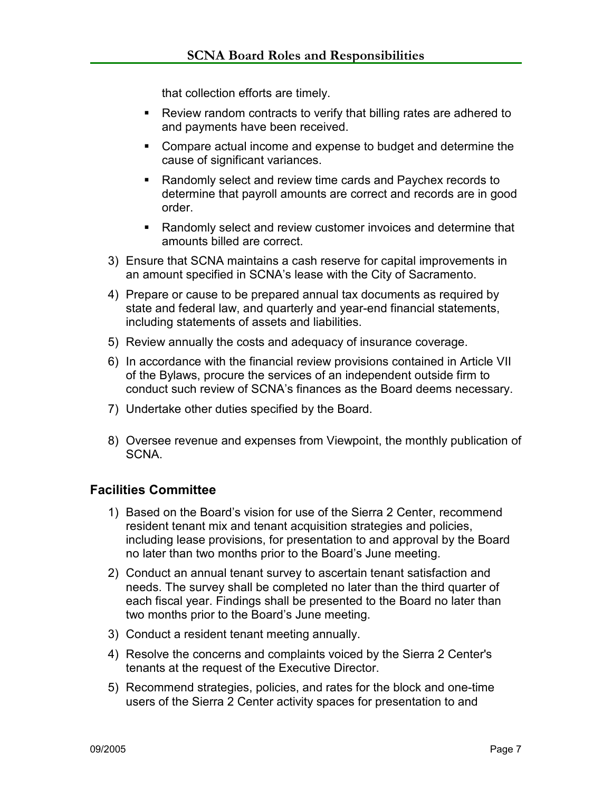that collection efforts are timely.

- Review random contracts to verify that billing rates are adhered to and payments have been received.
- Compare actual income and expense to budget and determine the cause of significant variances.
- Randomly select and review time cards and Paychex records to determine that payroll amounts are correct and records are in good order.
- Randomly select and review customer invoices and determine that amounts billed are correct.
- 3) Ensure that SCNA maintains a cash reserve for capital improvements in an amount specified in SCNA's lease with the City of Sacramento.
- 4) Prepare or cause to be prepared annual tax documents as required by state and federal law, and quarterly and year-end financial statements, including statements of assets and liabilities.
- 5) Review annually the costs and adequacy of insurance coverage.
- 6) In accordance with the financial review provisions contained in Article VII of the Bylaws, procure the services of an independent outside firm to conduct such review of SCNA's finances as the Board deems necessary.
- 7) Undertake other duties specified by the Board.
- 8) Oversee revenue and expenses from Viewpoint, the monthly publication of SCNA.

# **Facilities Committee**

- 1) Based on the Board's vision for use of the Sierra 2 Center, recommend resident tenant mix and tenant acquisition strategies and policies, including lease provisions, for presentation to and approval by the Board no later than two months prior to the Board's June meeting.
- 2) Conduct an annual tenant survey to ascertain tenant satisfaction and needs. The survey shall be completed no later than the third quarter of each fiscal year. Findings shall be presented to the Board no later than two months prior to the Board's June meeting.
- 3) Conduct a resident tenant meeting annually.
- 4) Resolve the concerns and complaints voiced by the Sierra 2 Center's tenants at the request of the Executive Director.
- 5) Recommend strategies, policies, and rates for the block and one-time users of the Sierra 2 Center activity spaces for presentation to and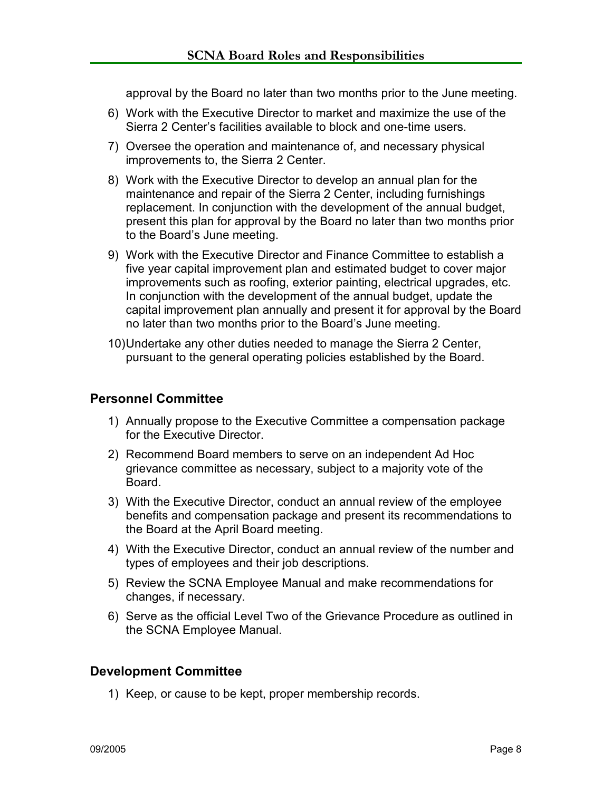approval by the Board no later than two months prior to the June meeting.

- 6) Work with the Executive Director to market and maximize the use of the Sierra 2 Center's facilities available to block and one-time users.
- 7) Oversee the operation and maintenance of, and necessary physical improvements to, the Sierra 2 Center.
- 8) Work with the Executive Director to develop an annual plan for the maintenance and repair of the Sierra 2 Center, including furnishings replacement. In conjunction with the development of the annual budget, present this plan for approval by the Board no later than two months prior to the Board's June meeting.
- 9) Work with the Executive Director and Finance Committee to establish a five year capital improvement plan and estimated budget to cover major improvements such as roofing, exterior painting, electrical upgrades, etc. In conjunction with the development of the annual budget, update the capital improvement plan annually and present it for approval by the Board no later than two months prior to the Board's June meeting.
- 10) Undertake any other duties needed to manage the Sierra 2 Center, pursuant to the general operating policies established by the Board.

# **Personnel Committee**

- 1) Annually propose to the Executive Committee a compensation package for the Executive Director.
- 2) Recommend Board members to serve on an independent Ad Hoc grievance committee as necessary, subject to a majority vote of the Board.
- 3) With the Executive Director, conduct an annual review of the employee benefits and compensation package and present its recommendations to the Board at the April Board meeting.
- 4) With the Executive Director, conduct an annual review of the number and types of employees and their job descriptions.
- 5) Review the SCNA Employee Manual and make recommendations for changes, if necessary.
- 6) Serve as the official Level Two of the Grievance Procedure as outlined in the SCNA Employee Manual.

# **Development Committee**

1) Keep, or cause to be kept, proper membership records.